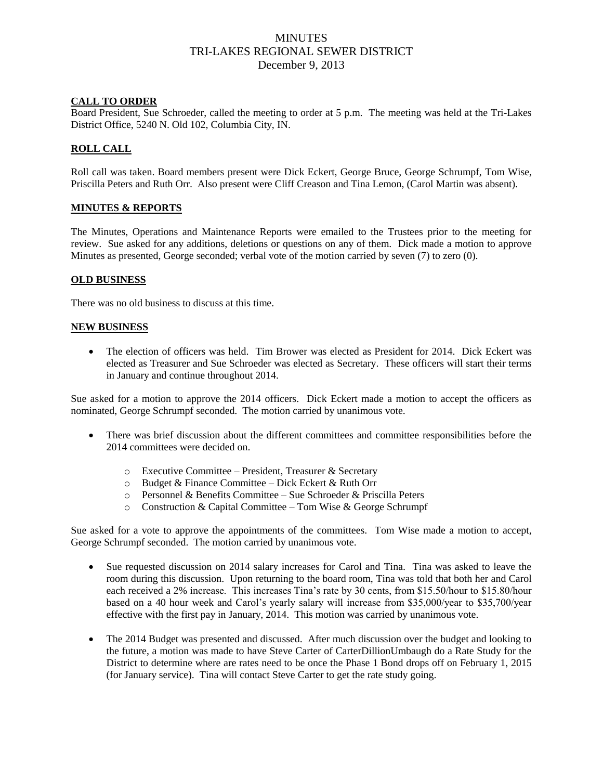## **MINUTES** TRI-LAKES REGIONAL SEWER DISTRICT December 9, 2013

## **CALL TO ORDER**

Board President, Sue Schroeder, called the meeting to order at 5 p.m. The meeting was held at the Tri-Lakes District Office, 5240 N. Old 102, Columbia City, IN.

## **ROLL CALL**

Roll call was taken. Board members present were Dick Eckert, George Bruce, George Schrumpf, Tom Wise, Priscilla Peters and Ruth Orr. Also present were Cliff Creason and Tina Lemon, (Carol Martin was absent).

#### **MINUTES & REPORTS**

The Minutes, Operations and Maintenance Reports were emailed to the Trustees prior to the meeting for review. Sue asked for any additions, deletions or questions on any of them. Dick made a motion to approve Minutes as presented, George seconded; verbal vote of the motion carried by seven (7) to zero (0).

#### **OLD BUSINESS**

There was no old business to discuss at this time.

#### **NEW BUSINESS**

 The election of officers was held. Tim Brower was elected as President for 2014. Dick Eckert was elected as Treasurer and Sue Schroeder was elected as Secretary. These officers will start their terms in January and continue throughout 2014.

Sue asked for a motion to approve the 2014 officers. Dick Eckert made a motion to accept the officers as nominated, George Schrumpf seconded. The motion carried by unanimous vote.

- There was brief discussion about the different committees and committee responsibilities before the 2014 committees were decided on.
	- o Executive Committee President, Treasurer & Secretary
	- $\circ$  Budget & Finance Committee Dick Eckert & Ruth Orr
	- o Personnel & Benefits Committee Sue Schroeder & Priscilla Peters
	- o Construction & Capital Committee Tom Wise & George Schrumpf

Sue asked for a vote to approve the appointments of the committees. Tom Wise made a motion to accept, George Schrumpf seconded. The motion carried by unanimous vote.

- Sue requested discussion on 2014 salary increases for Carol and Tina. Tina was asked to leave the room during this discussion. Upon returning to the board room, Tina was told that both her and Carol each received a 2% increase. This increases Tina's rate by 30 cents, from \$15.50/hour to \$15.80/hour based on a 40 hour week and Carol's yearly salary will increase from \$35,000/year to \$35,700/year effective with the first pay in January, 2014. This motion was carried by unanimous vote.
- The 2014 Budget was presented and discussed. After much discussion over the budget and looking to the future, a motion was made to have Steve Carter of CarterDillionUmbaugh do a Rate Study for the District to determine where are rates need to be once the Phase 1 Bond drops off on February 1, 2015 (for January service). Tina will contact Steve Carter to get the rate study going.